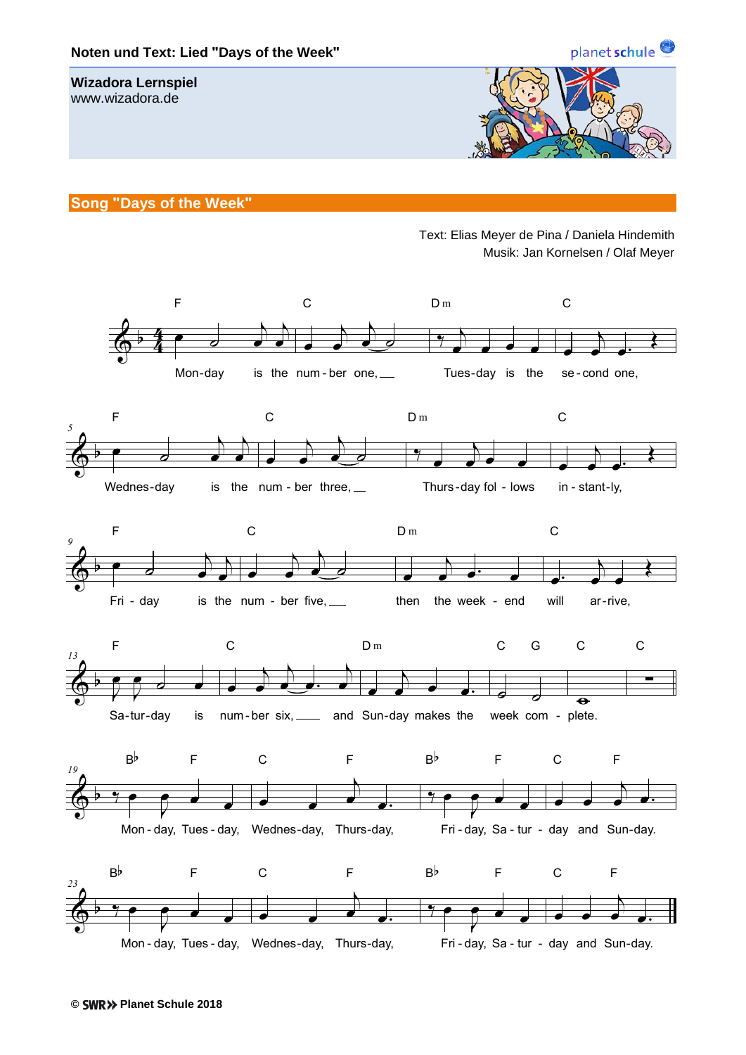

## **Song "Days of the Week"**

Text: Elias Meyer de Pina / Daniela Hindemith Musik: Jan Kornelsen / Olaf Meyer